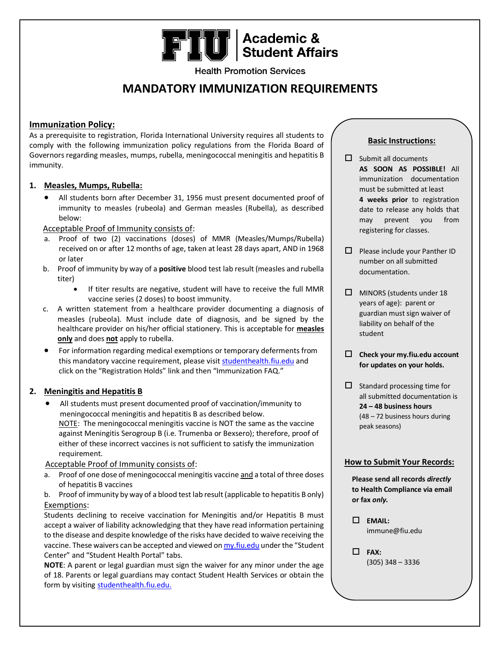# **FIU** Academic &

**Health Promotion Services** 

## **MANDATORY IMMUNIZATION REQUIREMENTS**

### **Immunization Policy:**

As a prerequisite to registration, Florida International University requires all students to comply with the following immunization policy regulations from the Florida Board of Governors regarding measles, mumps, rubella, meningococcal meningitis and hepatitis B immunity.

#### **1. Measles, Mumps, Rubella:**

 All students born after December 31, 1956 must present documented proof of immunity to measles (rubeola) and German measles (Rubella), as described below:

#### Acceptable Proof of Immunity consists of:

- a. Proof of two (2) vaccinations (doses) of MMR (Measles/Mumps/Rubella) received on or after 12 months of age, taken at least 28 days apart, AND in 1968 or later
- b. Proof of immunity by way of a **positive** blood test lab result (measles and rubella titer)
	- If titer results are negative, student will have to receive the full MMR vaccine series (2 doses) to boost immunity.
- c. A written statement from a healthcare provider documenting a diagnosis of measles (rubeola). Must include date of diagnosis, and be signed by the healthcare provider on his/her official stationery. This is acceptable for **measles only** and does **not** apply to rubella.
- For information regarding medical exemptions or temporary deferments from this mandatory vaccine requirement, please visi[t studenthealth.fiu.edu](https://studentaffairs.fiu.edu/health-and-fitness/student-health/insurance/international-students/index.phphttps:/studentaffairs.fiu.edu/health-and-fitness/student-health/insurance/international-students/index.php) and click on the "Registration Holds" link and then "Immunization FAQ."

#### **2. Meningitis and Hepatitis B**

 All students must present documented proof of vaccination/immunity to meningococcal meningitis and hepatitis B as described below. NOTE: The meningococcal meningitis vaccine is NOT the same as the vaccine against Meningitis Serogroup B (i.e. Trumenba or Bexsero); therefore, proof of either of these incorrect vaccines is not sufficient to satisfy the immunization requirement.

#### Acceptable Proof of Immunity consists of:

- a. Proof of one dose of meningococcal meningitis vaccine and a total of three doses of hepatitis B vaccines
- b. Proof of immunity by way of a blood test lab result (applicable to hepatitis B only) Exemptions:

Students declining to receive vaccination for Meningitis and/or Hepatitis B must accept a waiver of liability acknowledging that they have read information pertaining to the disease and despite knowledge of the risks have decided to waive receiving the vaccine. These waivers can be accepted and viewed o[n my.fiu.edu](https://my.fiu.edu/) under the "Student Center" and "Student Health Portal" tabs.

**NOTE**: A parent or legal guardian must sign the waiver for any minor under the age of 18. Parents or legal guardians may contact Student Health Services or obtain the form by visiting [studenthealth.fiu.edu.](http://studenthealth.fiu.edu/helpful-items/Pages/Forms%20Library.aspx)

### **Basic Instructions:**

- $\Box$  Submit all documents **AS SOON AS POSSIBLE!** All immunization documentation must be submitted at least **4 weeks prior** to registration date to release any holds that may prevent you from registering for classes.
- $\Box$  Please include your Panther ID number on all submitted documentation.
- $\Box$  MINORS (students under 18 years of age): parent or guardian must sign waiver of liability on behalf of the student
- **Check your my.fiu.edu account for updates on your holds.**
- $\Box$  Standard processing time for all submitted documentation is **24 – 48 business hours** (48 – 72 business hours during peak seasons)

#### **How to Submit Your Records:**

**Please send all records** *directly* **to Health Compliance via email or fax** *only.*

 **EMAIL:** immune@fiu.edu

 **FAX:** (305) 348 – 3336